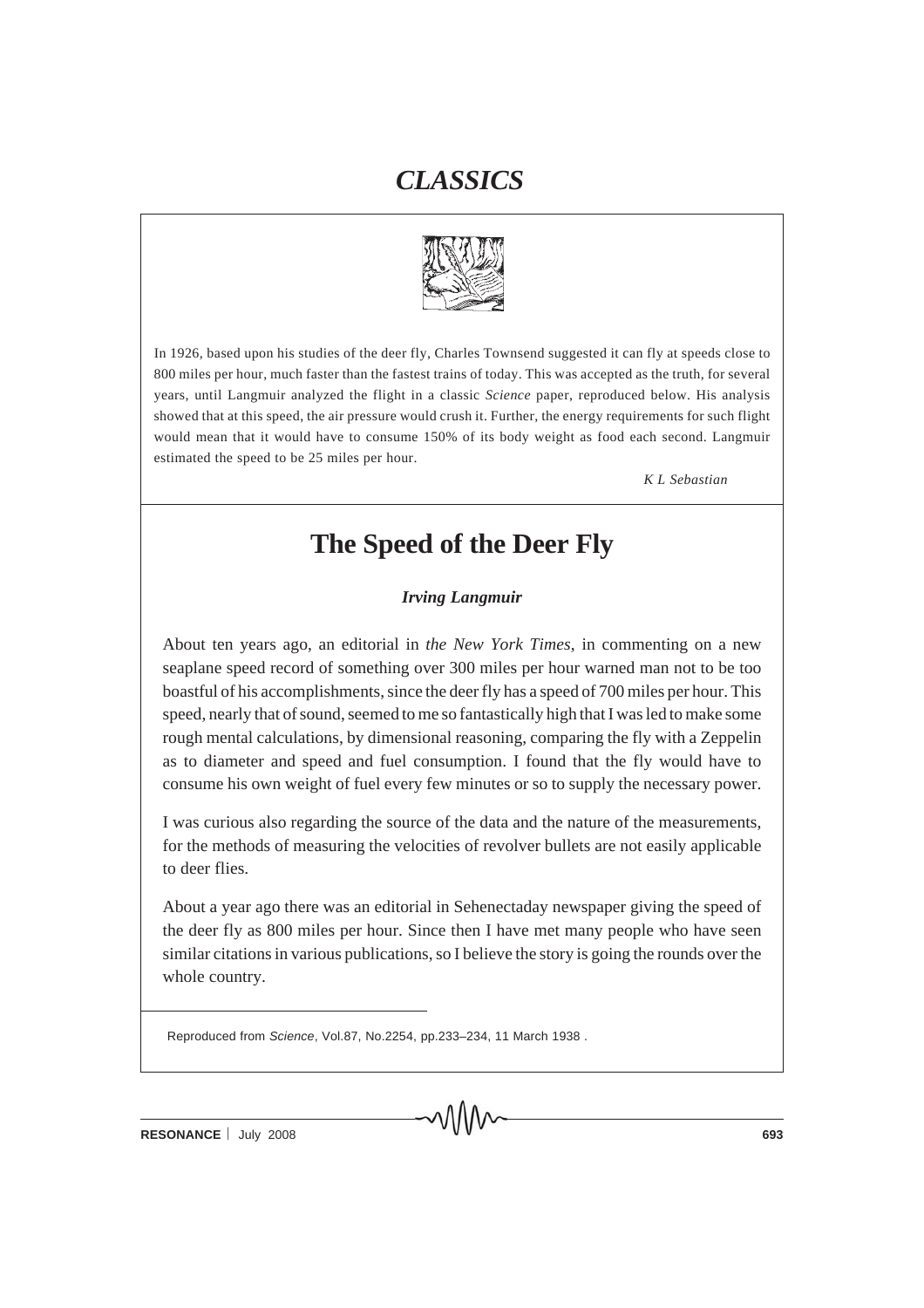

In 1926, based upon his studies of the deer fly, Charles Townsend suggested it can fly at speeds close to 800 miles per hour, much faster than the fastest trains of today. This was accepted as the truth, for several years, until Langmuir analyzed the flight in a classic *Science* paper, reproduced below. His analysis showed that at this speed, the air pressure would crush it. Further, the energy requirements for such flight would mean that it would have to consume 150% of its body weight as food each second. Langmuir estimated the speed to be 25 miles per hour.

*K L Sebastian*

#### **The Speed of the Deer Fly**

*Irving Langmuir*

About ten years ago, an editorial in *the New York Times*, in commenting on a new seaplane speed record of something over 300 miles per hour warned man not to be too boastful of his accomplishments, since the deer fly has a speed of 700 miles per hour. This speed, nearly that of sound, seemed to me so fantastically high that I was led to make some rough mental calculations, by dimensional reasoning, comparing the fly with a Zeppelin as to diameter and speed and fuel consumption. I found that the fly would have to consume his own weight of fuel every few minutes or so to supply the necessary power.

I was curious also regarding the source of the data and the nature of the measurements, for the methods of measuring the velocities of revolver bullets are not easily applicable to deer flies.

About a year ago there was an editorial in Sehenectaday newspaper giving the speed of the deer fly as 800 miles per hour. Since then I have met many people who have seen similar citations in various publications, so I believe the story is going the rounds over the whole country.

Reproduced from *Science*, Vol.87, No.2254, pp.233–234, 11 March 1938 .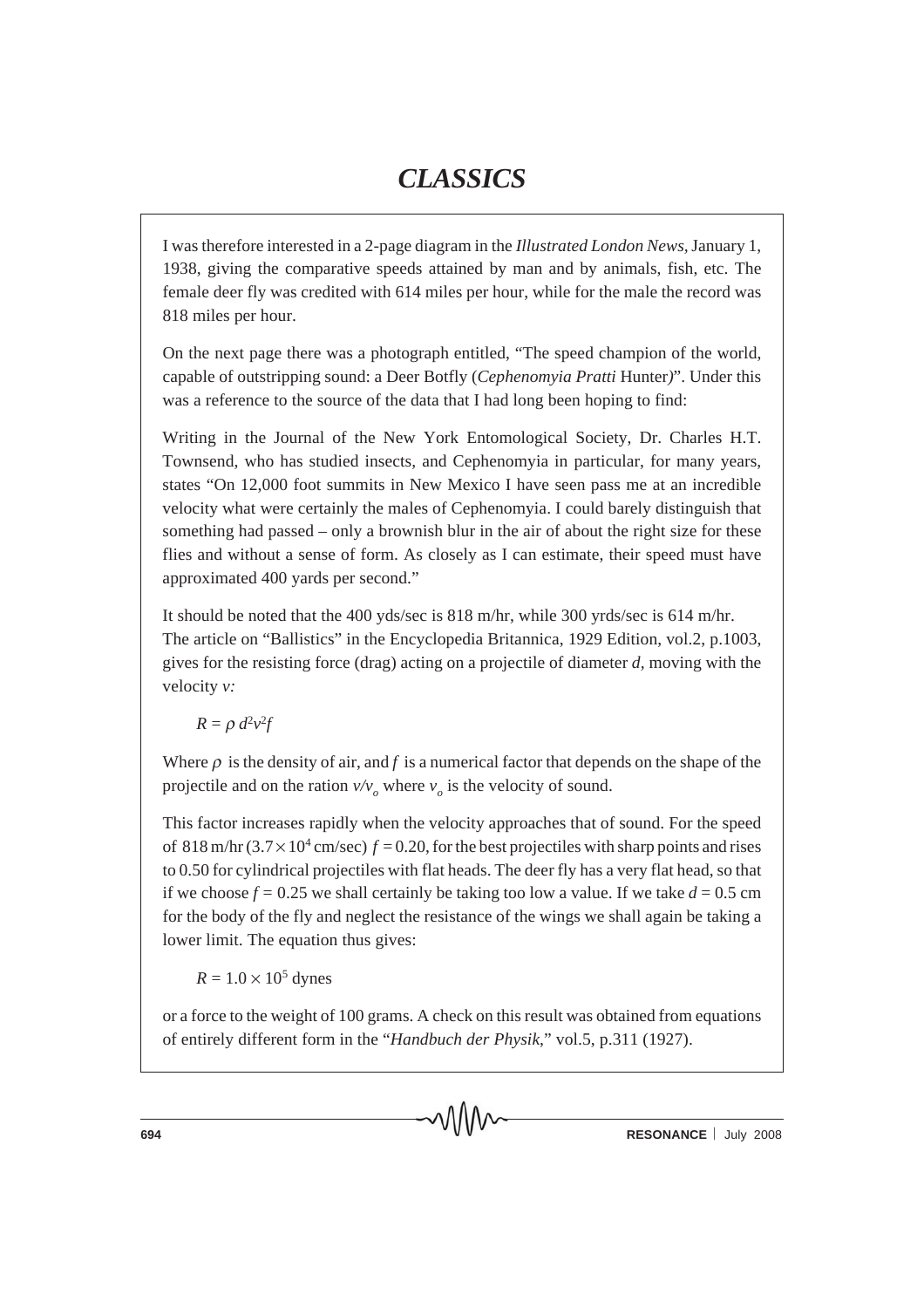I was therefore interested in a 2-page diagram in the *Illustrated London News,* January 1, 1938, giving the comparative speeds attained by man and by animals, fish, etc. The female deer fly was credited with 614 miles per hour, while for the male the record was 818 miles per hour.

On the next page there was a photograph entitled, "The speed champion of the world, capable of outstripping sound: a Deer Botfly (*Cephenomyia Pratti* Hunter*)*". Under this was a reference to the source of the data that I had long been hoping to find:

Writing in the Journal of the New York Entomological Society, Dr. Charles H.T. Townsend, who has studied insects, and Cephenomyia in particular, for many years, states "On 12,000 foot summits in New Mexico I have seen pass me at an incredible velocity what were certainly the males of Cephenomyia. I could barely distinguish that something had passed – only a brownish blur in the air of about the right size for these flies and without a sense of form. As closely as I can estimate, their speed must have approximated 400 yards per second."

It should be noted that the 400 yds/sec is 818 m/hr, while 300 yrds/sec is 614 m/hr. The article on "Ballistics" in the Encyclopedia Britannica, 1929 Edition, vol.2, p.1003, gives for the resisting force (drag) acting on a projectile of diameter *d,* moving with the velocity *v:*

 $R = \rho d^2v^2f$ 

Where  $\rho$  is the density of air, and  $f$  is a numerical factor that depends on the shape of the projectile and on the ration  $v/v_0$  where  $v_0$  is the velocity of sound.

This factor increases rapidly when the velocity approaches that of sound. For the speed of 818 m/hr  $(3.7 \times 10^4 \text{ cm/sec}) f = 0.20$ , for the best projectiles with sharp points and rises to 0.50 for cylindrical projectiles with flat heads. The deer fly has a very flat head, so that if we choose  $f = 0.25$  we shall certainly be taking too low a value. If we take  $d = 0.5$  cm for the body of the fly and neglect the resistance of the wings we shall again be taking a lower limit. The equation thus gives:

 $R = 1.0 \times 10^5$  dynes

or a force to the weight of 100 grams. A check on this result was obtained from equations of entirely different form in the "*Handbuch der Physik*," vol.5, p.311 (1927).

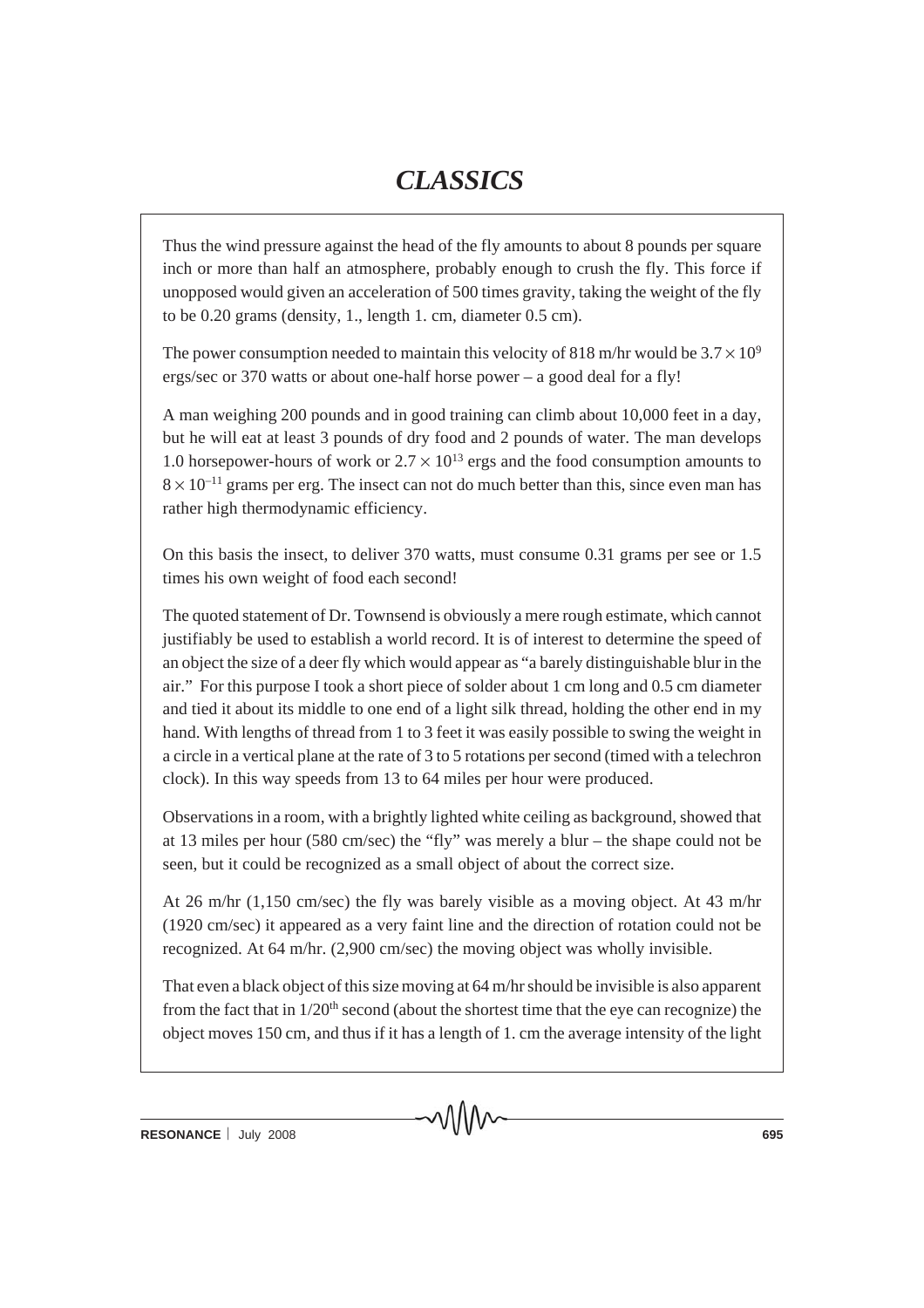Thus the wind pressure against the head of the fly amounts to about 8 pounds per square inch or more than half an atmosphere, probably enough to crush the fly. This force if unopposed would given an acceleration of 500 times gravity, taking the weight of the fly to be 0.20 grams (density, 1., length 1. cm, diameter 0.5 cm).

The power consumption needed to maintain this velocity of 818 m/hr would be  $3.7 \times 10^9$ ergs/sec or 370 watts or about one-half horse power – a good deal for a fly!

A man weighing 200 pounds and in good training can climb about 10,000 feet in a day, but he will eat at least 3 pounds of dry food and 2 pounds of water. The man develops 1.0 horsepower-hours of work or  $2.7 \times 10^{13}$  ergs and the food consumption amounts to  $8 \times 10^{-11}$  grams per erg. The insect can not do much better than this, since even man has rather high thermodynamic efficiency.

On this basis the insect, to deliver 370 watts, must consume 0.31 grams per see or 1.5 times his own weight of food each second!

The quoted statement of Dr. Townsend is obviously a mere rough estimate, which cannot justifiably be used to establish a world record. It is of interest to determine the speed of an object the size of a deer fly which would appear as "a barely distinguishable blur in the air." For this purpose I took a short piece of solder about 1 cm long and 0.5 cm diameter and tied it about its middle to one end of a light silk thread, holding the other end in my hand. With lengths of thread from 1 to 3 feet it was easily possible to swing the weight in a circle in a vertical plane at the rate of 3 to 5 rotations per second (timed with a telechron clock). In this way speeds from 13 to 64 miles per hour were produced.

Observations in a room, with a brightly lighted white ceiling as background, showed that at 13 miles per hour (580 cm/sec) the "fly" was merely a blur – the shape could not be seen, but it could be recognized as a small object of about the correct size.

At 26 m/hr (1,150 cm/sec) the fly was barely visible as a moving object. At 43 m/hr (1920 cm/sec) it appeared as a very faint line and the direction of rotation could not be recognized. At 64 m/hr. (2,900 cm/sec) the moving object was wholly invisible.

That even a black object of this size moving at 64 m/hr should be invisible is also apparent from the fact that in  $1/20<sup>th</sup>$  second (about the shortest time that the eye can recognize) the object moves 150 cm, and thus if it has a length of 1. cm the average intensity of the light